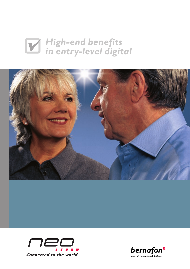# *High-end benefits in entry-level digital*





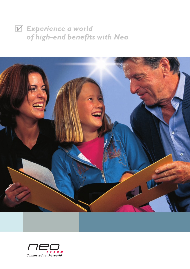## *Experience a world of high-end benefits with Neo*



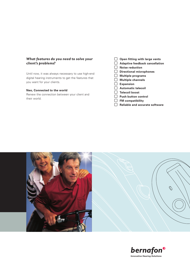#### *What features do you need to solve your client's problems?*

Until now, it was always necessary to use high-end digital hearing instruments to get the features that you want for your clients.

#### **Neo, Connected to the world**

Renew the connection between your client and their world.

- **Open fitting with large vents**
- **Adaptive feedback cancellation**
- **Noise reduction**
- **Directional microphones**
- **Multiple programs**
- **Multiple channels**
- **Expansion**
- **Automatic telecoil**
- **Telecoil boost**
- **Push button control**
- **FM compatibility**
- **Reliable and accurate software**



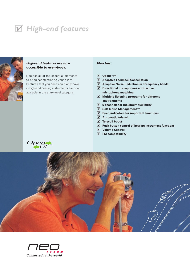## *High-end features*



#### *High-end features are now accessible to everybody.*

Neo has all of the essential elements to bring satisfaction to your client. Features that you once could only have in high-end hearing instruments are now available in the entry-level category.

#### *Neo has:*

- **OpenFit™**
- **Adaptive Feedback Cancellation**
- **Adaptive Noise Reduction in 8 frequency bands**
- **Directional microphones with active microphone matching**
- **Multiple listening programs for different environments**
- **5 channels for maximum flexibility**
- **Soft Noise Management™**
- **Beep indicators for important functions**
- **Automatic telecoil**
- **Telecoil boost**
- **Push button control of hearing instrument functions**
- **Volume Control**
- **FM compatibility**



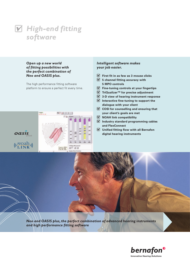

#### *Open up a new world of fitting possibilities with the perfect combination of Neo and OASIS plus.*

The high performance fitting software platform to ensure a perfect fit every time.



#### *Intelligent software makes your job easier.*

- **First fit in as few as 3 mouse clicks**
- **5 channel fitting accuracy with 5 MPO controls**
- **Fine-tuning controls at your fingertips**
- **TriQualizer™ for precise adjustment**
- **3-D view of hearing instrument response**
- **Interactive fine-tuning to support the dialogue with your client**
- **COSI for counselling and ensuring that your client's goals are met**
- **NOAH link compatibility**
- **Industry standard programming cables and FlexConnect**
- **Unified fitting flow with all Bernafon digital hearing instruments**

*Neo and OASIS plus, the perfect combination of advanced hearing instruments and high performance fitting software*

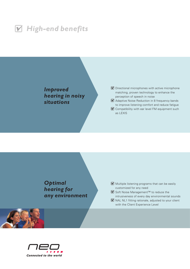

*Improved hearing in noisy situations*

#### $\blacksquare$  Directional microphones with active microphone matching, proven technology to enhance the perception of speech in noise

**M** Adaptive Noise Reduction in 8 frequency bands to improve listening comfort and reduce fatigue

**M** Compatibility with ear level FM equipment such as LEXIS

*Optimal hearing for any environment*

 $\blacksquare$  Multiple listening programs that can be easily customized for any need

■ Soft Noise Management™ to reduce the intrusiveness of every day environmental sounds  $\blacksquare$  NAL NL1 fitting rationale, adjusted to your client with the Client Experience Level



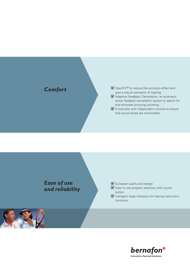### *Comfort*

#### ■ OpenFit™ to reduce the occlusion effect and give a natural sensation of hearing

- **M** Adaptive Feedback Cancellation, an automatic active feedback cancellation system to search for and eliminate annoying whistling
- 5 channels with independent controls to ensure that sound levels are comfortable



#### **V** European quality and design

- $\mathbf F$  Easy to use program selection with a push button
- **Intelligent beep indicators for hearing instrument** functions

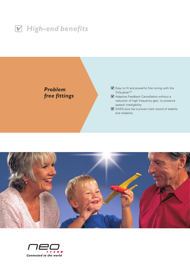





- **M** Adaptive Feedback Cancellation without a reduction of high frequency gain, to preserve speech intelligibility
- OASIS plus has a proven track record of stability and reliability



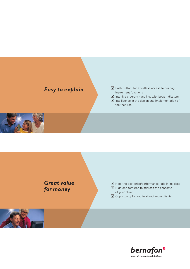### *Easy to explain*



 **Intelligence in the design and implementation of** the features





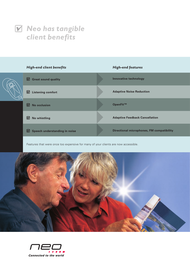



Features that were once too expensive for many of your clients are now accessible.



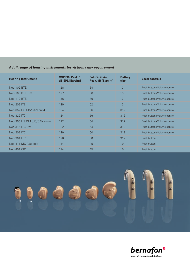#### *A full range of hearing instruments for virtually any requirement*

| <b>Hearing Instrument</b>   | OSPL90, Peak /<br>dB SPL [Earsim] | <b>Full-On Gain,</b><br>Peak/dB [Earsim] | <b>Battery</b><br>size | <b>Local controls</b>      |
|-----------------------------|-----------------------------------|------------------------------------------|------------------------|----------------------------|
| <b>Neo 102 BTE</b>          | 128                               | 64                                       | 13                     | Push button+Volume control |
| Neo 105 BTE DM              | 127                               | 66                                       | 13                     | Push button+Volume control |
| <b>Neo 112 BTE</b>          | 136                               | 76                                       | 13                     | Push button+Volume control |
| <b>Neo 202 ITE</b>          | 129                               | 62                                       | 13                     | Push button+Volume control |
| Neo 352 HS (US/CAN only)    | 124                               | 56                                       | 312                    | Push button+Volume control |
| <b>Neo 322 ITC</b>          | 124                               | 56                                       | 312                    | Push button+Volume control |
| Neo 355 HS DM (US/CAN only) | 122                               | 54                                       | 312                    | Push button+Volume control |
| Neo 315 ITC DM              | 122                               | 54                                       | 312                    | Push button+Volume control |
| <b>Neo 302 ITC</b>          | 120                               | 50                                       | 312                    | Push button+Volume control |
| Neo 301 ITC                 | 120                               | 50                                       | 312                    | Push button                |
| Neo 411 MC (Lab opt.)       | 114                               | 45                                       | 10                     | Push button                |
| Neo 401 CIC                 | 114                               | 45                                       | 10                     | Push button                |